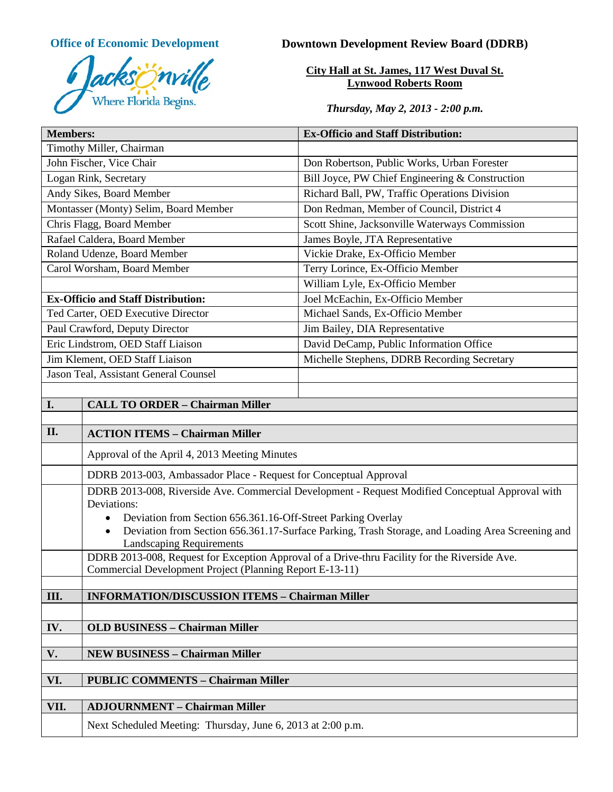

# **Office of Economic Development Downtown Development Review Board (DDRB)**

**City Hall at St. James, 117 West Duval St. Lynwood Roberts Room**

*Thursday, May 2, 2013 - 2:00 p.m.*

| <b>Members:</b>                           |                                                                                                                            | <b>Ex-Officio and Staff Distribution:</b>       |
|-------------------------------------------|----------------------------------------------------------------------------------------------------------------------------|-------------------------------------------------|
| Timothy Miller, Chairman                  |                                                                                                                            |                                                 |
| John Fischer, Vice Chair                  |                                                                                                                            | Don Robertson, Public Works, Urban Forester     |
| Logan Rink, Secretary                     |                                                                                                                            | Bill Joyce, PW Chief Engineering & Construction |
| Andy Sikes, Board Member                  |                                                                                                                            | Richard Ball, PW, Traffic Operations Division   |
| Montasser (Monty) Selim, Board Member     |                                                                                                                            | Don Redman, Member of Council, District 4       |
| Chris Flagg, Board Member                 |                                                                                                                            | Scott Shine, Jacksonville Waterways Commission  |
| Rafael Caldera, Board Member              |                                                                                                                            | James Boyle, JTA Representative                 |
| Roland Udenze, Board Member               |                                                                                                                            | Vickie Drake, Ex-Officio Member                 |
| Carol Worsham, Board Member               |                                                                                                                            | Terry Lorince, Ex-Officio Member                |
|                                           |                                                                                                                            | William Lyle, Ex-Officio Member                 |
| <b>Ex-Officio and Staff Distribution:</b> |                                                                                                                            | Joel McEachin, Ex-Officio Member                |
| Ted Carter, OED Executive Director        |                                                                                                                            | Michael Sands, Ex-Officio Member                |
| Paul Crawford, Deputy Director            |                                                                                                                            | Jim Bailey, DIA Representative                  |
| Eric Lindstrom, OED Staff Liaison         |                                                                                                                            | David DeCamp, Public Information Office         |
| Jim Klement, OED Staff Liaison            |                                                                                                                            | Michelle Stephens, DDRB Recording Secretary     |
| Jason Teal, Assistant General Counsel     |                                                                                                                            |                                                 |
|                                           |                                                                                                                            |                                                 |
| I.                                        | <b>CALL TO ORDER - Chairman Miller</b>                                                                                     |                                                 |
|                                           |                                                                                                                            |                                                 |
| II.                                       | <b>ACTION ITEMS - Chairman Miller</b>                                                                                      |                                                 |
|                                           | Approval of the April 4, 2013 Meeting Minutes                                                                              |                                                 |
|                                           | DDRB 2013-003, Ambassador Place - Request for Conceptual Approval                                                          |                                                 |
|                                           | DDRB 2013-008, Riverside Ave. Commercial Development - Request Modified Conceptual Approval with                           |                                                 |
|                                           | Deviations:<br>Deviation from Section 656.361.16-Off-Street Parking Overlay                                                |                                                 |
|                                           | $\bullet$<br>Deviation from Section 656.361.17-Surface Parking, Trash Storage, and Loading Area Screening and<br>$\bullet$ |                                                 |
|                                           | <b>Landscaping Requirements</b>                                                                                            |                                                 |
|                                           | DDRB 2013-008, Request for Exception Approval of a Drive-thru Facility for the Riverside Ave.                              |                                                 |
|                                           | Commercial Development Project (Planning Report E-13-11)                                                                   |                                                 |
|                                           |                                                                                                                            |                                                 |
| III.                                      | <b>INFORMATION/DISCUSSION ITEMS - Chairman Miller</b>                                                                      |                                                 |
|                                           |                                                                                                                            |                                                 |
| IV.                                       | <b>OLD BUSINESS - Chairman Miller</b>                                                                                      |                                                 |
| V.                                        | <b>NEW BUSINESS - Chairman Miller</b>                                                                                      |                                                 |
|                                           |                                                                                                                            |                                                 |
| VI.                                       | <b>PUBLIC COMMENTS - Chairman Miller</b>                                                                                   |                                                 |
|                                           |                                                                                                                            |                                                 |
| VII.                                      | <b>ADJOURNMENT - Chairman Miller</b>                                                                                       |                                                 |
|                                           | Next Scheduled Meeting: Thursday, June 6, 2013 at 2:00 p.m.                                                                |                                                 |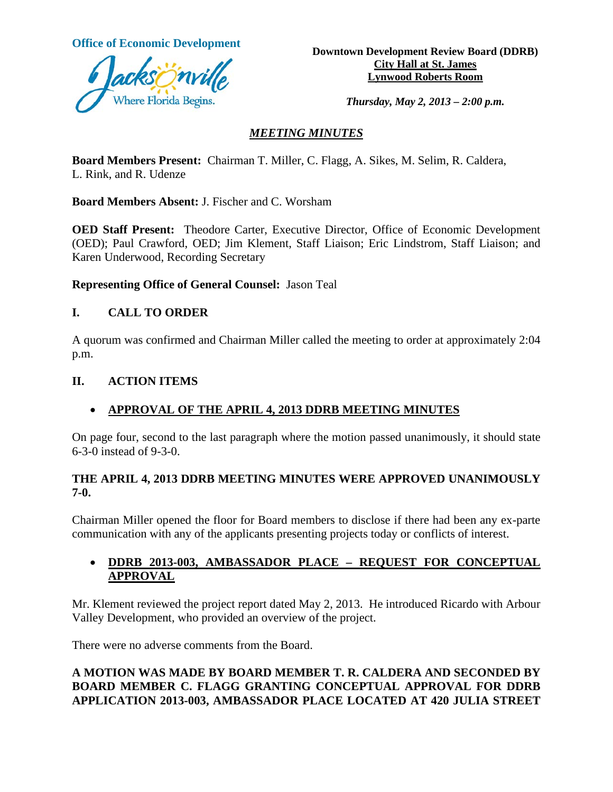

**Office of Economic Development**<br> **Downtown Development Review Board (DDRB) City Hall at St. James Lynwood Roberts Room**

*Thursday, May 2, 2013 – 2:00 p.m.*

# *MEETING MINUTES*

**Board Members Present:** Chairman T. Miller, C. Flagg, A. Sikes, M. Selim, R. Caldera, L. Rink, and R. Udenze

**Board Members Absent:** J. Fischer and C. Worsham

**OED Staff Present:** Theodore Carter, Executive Director, Office of Economic Development (OED); Paul Crawford, OED; Jim Klement, Staff Liaison; Eric Lindstrom, Staff Liaison; and Karen Underwood, Recording Secretary

**Representing Office of General Counsel:** Jason Teal

# **I. CALL TO ORDER**

A quorum was confirmed and Chairman Miller called the meeting to order at approximately 2:04 p.m.

# **II. ACTION ITEMS**

# • **APPROVAL OF THE APRIL 4, 2013 DDRB MEETING MINUTES**

On page four, second to the last paragraph where the motion passed unanimously, it should state 6-3-0 instead of 9-3-0.

#### **THE APRIL 4, 2013 DDRB MEETING MINUTES WERE APPROVED UNANIMOUSLY 7-0.**

Chairman Miller opened the floor for Board members to disclose if there had been any ex-parte communication with any of the applicants presenting projects today or conflicts of interest.

# • **DDRB 2013-003, AMBASSADOR PLACE – REQUEST FOR CONCEPTUAL APPROVAL**

Mr. Klement reviewed the project report dated May 2, 2013. He introduced Ricardo with Arbour Valley Development, who provided an overview of the project.

There were no adverse comments from the Board.

# **A MOTION WAS MADE BY BOARD MEMBER T. R. CALDERA AND SECONDED BY BOARD MEMBER C. FLAGG GRANTING CONCEPTUAL APPROVAL FOR DDRB APPLICATION 2013-003, AMBASSADOR PLACE LOCATED AT 420 JULIA STREET**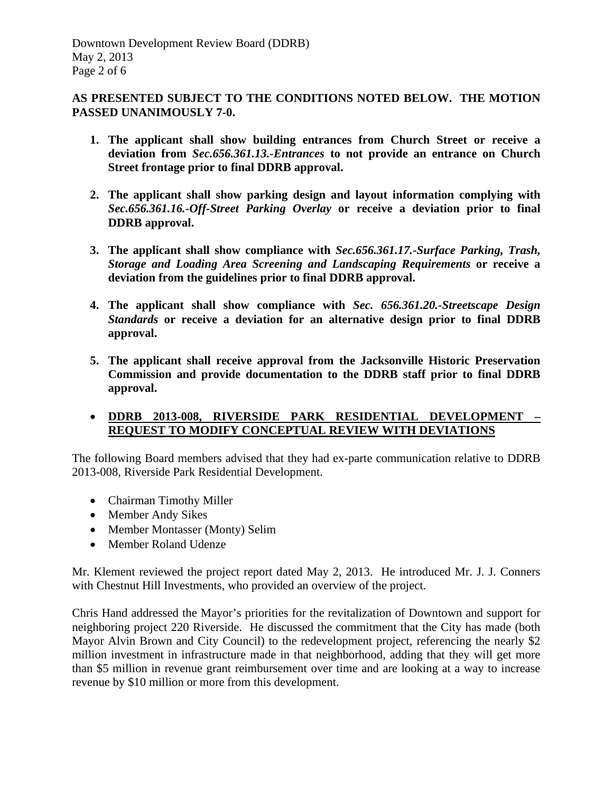# **AS PRESENTED SUBJECT TO THE CONDITIONS NOTED BELOW. THE MOTION PASSED UNANIMOUSLY 7-0.**

- **1. The applicant shall show building entrances from Church Street or receive a deviation from** *Sec.656.361.13.-Entrances* **to not provide an entrance on Church Street frontage prior to final DDRB approval.**
- **2. The applicant shall show parking design and layout information complying with**  *Sec.656.361.16.-Off-Street Parking Overlay* **or receive a deviation prior to final DDRB approval.**
- **3. The applicant shall show compliance with** *Sec.656.361.17.-Surface Parking, Trash, Storage and Loading Area Screening and Landscaping Requirements* **or receive a deviation from the guidelines prior to final DDRB approval.**
- **4. The applicant shall show compliance with** *Sec. 656.361.20.-Streetscape Design Standards* **or receive a deviation for an alternative design prior to final DDRB approval.**
- **5. The applicant shall receive approval from the Jacksonville Historic Preservation Commission and provide documentation to the DDRB staff prior to final DDRB approval.**

# • **DDRB 2013-008, RIVERSIDE PARK RESIDENTIAL DEVELOPMENT – REQUEST TO MODIFY CONCEPTUAL REVIEW WITH DEVIATIONS**

The following Board members advised that they had ex-parte communication relative to DDRB 2013-008, Riverside Park Residential Development.

- Chairman Timothy Miller
- Member Andy Sikes
- Member Montasser (Monty) Selim
- Member Roland Udenze

Mr. Klement reviewed the project report dated May 2, 2013. He introduced Mr. J. J. Conners with Chestnut Hill Investments, who provided an overview of the project.

Chris Hand addressed the Mayor's priorities for the revitalization of Downtown and support for neighboring project 220 Riverside. He discussed the commitment that the City has made (both Mayor Alvin Brown and City Council) to the redevelopment project, referencing the nearly \$2 million investment in infrastructure made in that neighborhood, adding that they will get more than \$5 million in revenue grant reimbursement over time and are looking at a way to increase revenue by \$10 million or more from this development.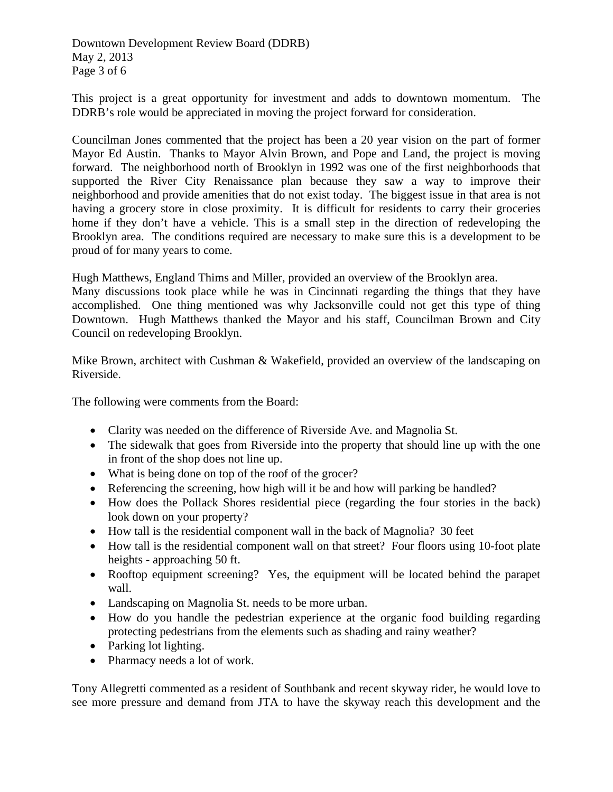Downtown Development Review Board (DDRB) May 2, 2013 Page 3 of 6

This project is a great opportunity for investment and adds to downtown momentum. The DDRB's role would be appreciated in moving the project forward for consideration.

Councilman Jones commented that the project has been a 20 year vision on the part of former Mayor Ed Austin. Thanks to Mayor Alvin Brown, and Pope and Land, the project is moving forward. The neighborhood north of Brooklyn in 1992 was one of the first neighborhoods that supported the River City Renaissance plan because they saw a way to improve their neighborhood and provide amenities that do not exist today. The biggest issue in that area is not having a grocery store in close proximity. It is difficult for residents to carry their groceries home if they don't have a vehicle. This is a small step in the direction of redeveloping the Brooklyn area. The conditions required are necessary to make sure this is a development to be proud of for many years to come.

Hugh Matthews, England Thims and Miller, provided an overview of the Brooklyn area. Many discussions took place while he was in Cincinnati regarding the things that they have accomplished. One thing mentioned was why Jacksonville could not get this type of thing Downtown. Hugh Matthews thanked the Mayor and his staff, Councilman Brown and City Council on redeveloping Brooklyn.

Mike Brown, architect with Cushman & Wakefield, provided an overview of the landscaping on Riverside.

The following were comments from the Board:

- Clarity was needed on the difference of Riverside Ave. and Magnolia St.
- The sidewalk that goes from Riverside into the property that should line up with the one in front of the shop does not line up.
- What is being done on top of the roof of the grocer?
- Referencing the screening, how high will it be and how will parking be handled?
- How does the Pollack Shores residential piece (regarding the four stories in the back) look down on your property?
- How tall is the residential component wall in the back of Magnolia? 30 feet
- How tall is the residential component wall on that street? Four floors using 10-foot plate heights - approaching 50 ft.
- Rooftop equipment screening? Yes, the equipment will be located behind the parapet wall.
- Landscaping on Magnolia St. needs to be more urban.
- How do you handle the pedestrian experience at the organic food building regarding protecting pedestrians from the elements such as shading and rainy weather?
- Parking lot lighting.
- Pharmacy needs a lot of work.

Tony Allegretti commented as a resident of Southbank and recent skyway rider, he would love to see more pressure and demand from JTA to have the skyway reach this development and the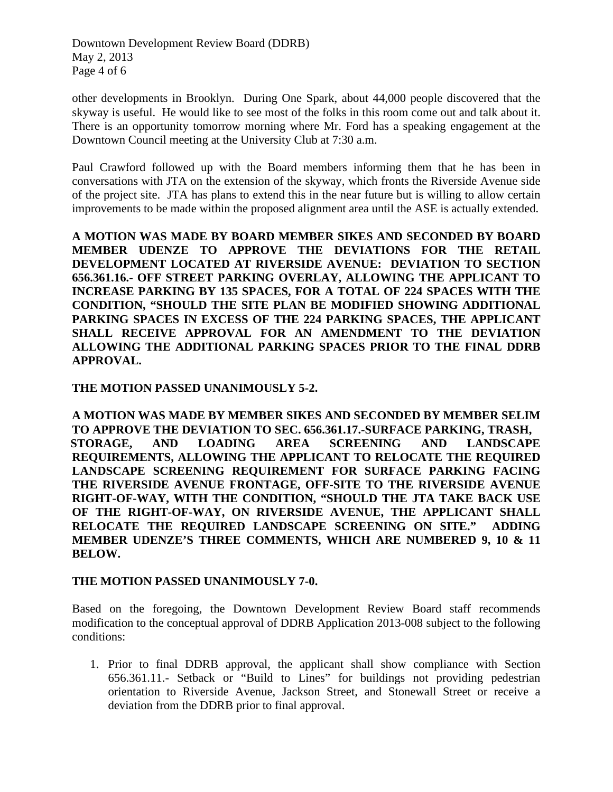Downtown Development Review Board (DDRB) May 2, 2013 Page 4 of 6

other developments in Brooklyn. During One Spark, about 44,000 people discovered that the skyway is useful. He would like to see most of the folks in this room come out and talk about it. There is an opportunity tomorrow morning where Mr. Ford has a speaking engagement at the Downtown Council meeting at the University Club at 7:30 a.m.

Paul Crawford followed up with the Board members informing them that he has been in conversations with JTA on the extension of the skyway, which fronts the Riverside Avenue side of the project site. JTA has plans to extend this in the near future but is willing to allow certain improvements to be made within the proposed alignment area until the ASE is actually extended.

**A MOTION WAS MADE BY BOARD MEMBER SIKES AND SECONDED BY BOARD MEMBER UDENZE TO APPROVE THE DEVIATIONS FOR THE RETAIL DEVELOPMENT LOCATED AT RIVERSIDE AVENUE: DEVIATION TO SECTION 656.361.16.- OFF STREET PARKING OVERLAY, ALLOWING THE APPLICANT TO INCREASE PARKING BY 135 SPACES, FOR A TOTAL OF 224 SPACES WITH THE CONDITION, "SHOULD THE SITE PLAN BE MODIFIED SHOWING ADDITIONAL PARKING SPACES IN EXCESS OF THE 224 PARKING SPACES, THE APPLICANT SHALL RECEIVE APPROVAL FOR AN AMENDMENT TO THE DEVIATION ALLOWING THE ADDITIONAL PARKING SPACES PRIOR TO THE FINAL DDRB APPROVAL.** 

#### **THE MOTION PASSED UNANIMOUSLY 5-2.**

**A MOTION WAS MADE BY MEMBER SIKES AND SECONDED BY MEMBER SELIM TO APPROVE THE DEVIATION TO SEC. 656.361.17.-SURFACE PARKING, TRASH, STORAGE, AND LOADING AREA SCREENING AND LANDSCAPE REQUIREMENTS, ALLOWING THE APPLICANT TO RELOCATE THE REQUIRED LANDSCAPE SCREENING REQUIREMENT FOR SURFACE PARKING FACING THE RIVERSIDE AVENUE FRONTAGE, OFF-SITE TO THE RIVERSIDE AVENUE RIGHT-OF-WAY, WITH THE CONDITION, "SHOULD THE JTA TAKE BACK USE OF THE RIGHT-OF-WAY, ON RIVERSIDE AVENUE, THE APPLICANT SHALL RELOCATE THE REQUIRED LANDSCAPE SCREENING ON SITE." ADDING MEMBER UDENZE'S THREE COMMENTS, WHICH ARE NUMBERED 9, 10 & 11 BELOW.**

#### **THE MOTION PASSED UNANIMOUSLY 7-0.**

Based on the foregoing, the Downtown Development Review Board staff recommends modification to the conceptual approval of DDRB Application 2013-008 subject to the following conditions:

1. Prior to final DDRB approval, the applicant shall show compliance with Section 656.361.11.- Setback or "Build to Lines" for buildings not providing pedestrian orientation to Riverside Avenue, Jackson Street, and Stonewall Street or receive a deviation from the DDRB prior to final approval.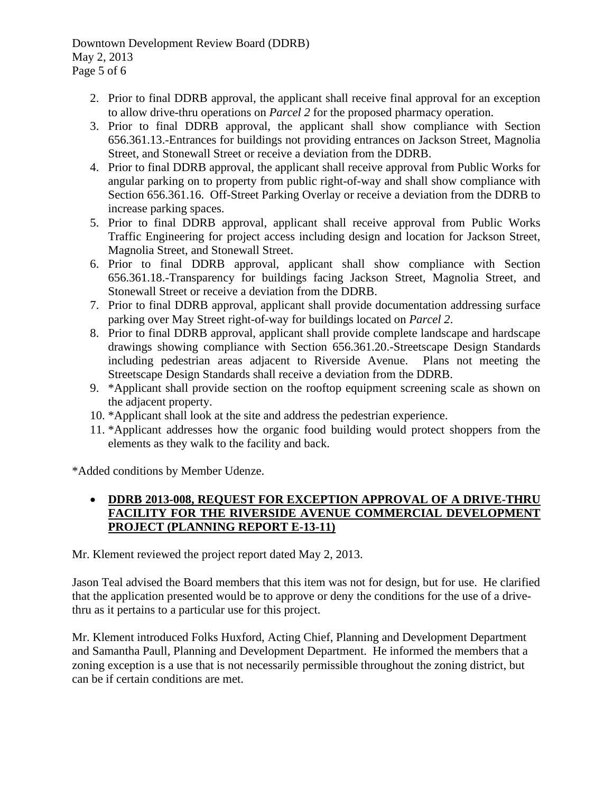Downtown Development Review Board (DDRB) May 2, 2013 Page 5 of 6

- 2. Prior to final DDRB approval, the applicant shall receive final approval for an exception to allow drive-thru operations on *Parcel 2* for the proposed pharmacy operation.
- 3. Prior to final DDRB approval, the applicant shall show compliance with Section 656.361.13.-Entrances for buildings not providing entrances on Jackson Street, Magnolia Street, and Stonewall Street or receive a deviation from the DDRB.
- 4. Prior to final DDRB approval, the applicant shall receive approval from Public Works for angular parking on to property from public right-of-way and shall show compliance with Section 656.361.16. Off-Street Parking Overlay or receive a deviation from the DDRB to increase parking spaces.
- 5. Prior to final DDRB approval, applicant shall receive approval from Public Works Traffic Engineering for project access including design and location for Jackson Street, Magnolia Street, and Stonewall Street.
- 6. Prior to final DDRB approval, applicant shall show compliance with Section 656.361.18.-Transparency for buildings facing Jackson Street, Magnolia Street, and Stonewall Street or receive a deviation from the DDRB.
- 7. Prior to final DDRB approval, applicant shall provide documentation addressing surface parking over May Street right-of-way for buildings located on *Parcel 2*.
- 8. Prior to final DDRB approval, applicant shall provide complete landscape and hardscape drawings showing compliance with Section 656.361.20.-Streetscape Design Standards including pedestrian areas adjacent to Riverside Avenue. Plans not meeting the Streetscape Design Standards shall receive a deviation from the DDRB.
- 9. \*Applicant shall provide section on the rooftop equipment screening scale as shown on the adjacent property.
- 10. \*Applicant shall look at the site and address the pedestrian experience.
- 11. \*Applicant addresses how the organic food building would protect shoppers from the elements as they walk to the facility and back.

\*Added conditions by Member Udenze.

# • **DDRB 2013-008, REQUEST FOR EXCEPTION APPROVAL OF A DRIVE-THRU FACILITY FOR THE RIVERSIDE AVENUE COMMERCIAL DEVELOPMENT PROJECT (PLANNING REPORT E-13-11)**

Mr. Klement reviewed the project report dated May 2, 2013.

Jason Teal advised the Board members that this item was not for design, but for use. He clarified that the application presented would be to approve or deny the conditions for the use of a drivethru as it pertains to a particular use for this project.

Mr. Klement introduced Folks Huxford, Acting Chief, Planning and Development Department and Samantha Paull, Planning and Development Department. He informed the members that a zoning exception is a use that is not necessarily permissible throughout the zoning district, but can be if certain conditions are met.